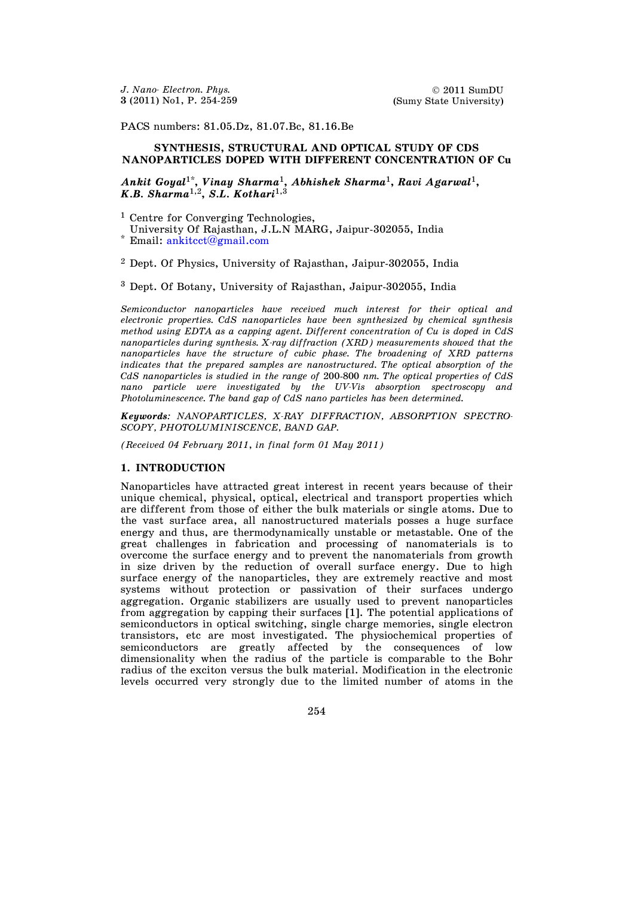PACS numbers: 81.05.Dz, 81.07.Bc, 81.16.Be

## **SYNTHESIS, STRUCTURAL AND OPTICAL STUDY OF CDS NANOPARTICLES DOPED WITH DIFFERENT CONCENTRATION OF Cu**

## *Ankit Goyal*1\* **,** *Vinay Sharma*1**,** *Abhishek Sharma*1**,** *Ravi Agarwal*1**,** *K.B. Sharma*1,2**,** *S.L. Kothari*1,3

<sup>1</sup> Centre for Converging Technologies,

University Of Rajasthan, J.L.N MARG, Jaipur-302055, India

\* Email: [ankitcct@gmail.com](mailto:ankitcct@gmail.com)

<sup>2</sup> Dept. Of Physics, University of Rajasthan, Jaipur-302055, India

<sup>3</sup> Dept. Of Botany, University of Rajasthan, Jaipur-302055, India

*Semiconductor nanoparticles have received much interest for their optical and electronic properties. CdS nanoparticles have been synthesized by chemical synthesis method using EDTA as a capping agent. Different concentration of Cu is doped in CdS nanoparticles during synthesis. X-ray diffraction (XRD) measurements showed that the nanoparticles have the structure of cubic phase. The broadening of XRD patterns*  indicates that the prepared samples are nanostructured. The optical absorption of the *CdS nanoparticles is studied in the range of* 200-800 *nm. The optical properties of CdS nano particle were investigated by the UV-Vis absorption spectroscopy and Photoluminescence. The band gap of CdS nano particles has been determined.* 

*Keywords: NANOPARTICLES, X-RAY DIFFRACTION, ABSORPTION SPECTRO-SCOPY, PHOTOLUMINISCENCE, BAND GAP.* 

*(Received 04 February 2011*, *in final form 01 May 2011)* 

## **1. INTRODUCTION**

Nanoparticles have attracted great interest in recent years because of their unique chemical, physical, optical, electrical and transport properties which are different from those of either the bulk materials or single atoms. Due to the vast surface area, all nanostructured materials posses a huge surface energy and thus, are thermodynamically unstable or metastable. One of the great challenges in fabrication and processing of nanomaterials is to overcome the surface energy and to prevent the nanomaterials from growth in size driven by the reduction of overall surface energy. Due to high surface energy of the nanoparticles, they are extremely reactive and most systems without protection or passivation of their surfaces undergo aggregation. Organic stabilizers are usually used to prevent nanoparticles from aggregation by capping their surfaces [1]. The potential applications of semiconductors in optical switching, single charge memories, single electron transistors, etc are most investigated. The physiochemical properties of semiconductors are greatly affected by the consequences of low dimensionality when the radius of the particle is comparable to the Bohr radius of the exciton versus the bulk material. Modification in the electronic levels occurred very strongly due to the limited number of atoms in the

254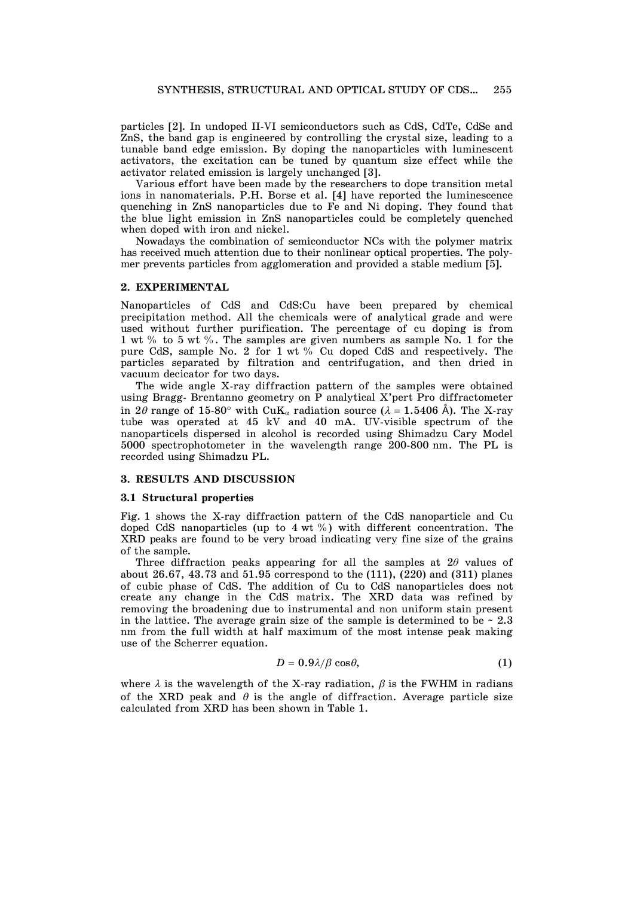particles [2]. In undoped II-VI semiconductors such as CdS, CdTe, CdSe and ZnS, the band gap is engineered by controlling the crystal size, leading to a tunable band edge emission. By doping the nanoparticles with luminescent activators, the excitation can be tuned by quantum size effect while the activator related emission is largely unchanged [3].

 Various effort have been made by the researchers to dope transition metal ions in nanomaterials. P.H. Borse et al. [4] have reported the luminescence quenching in ZnS nanoparticles due to Fe and Ni doping. They found that the blue light emission in ZnS nanoparticles could be completely quenched when doped with iron and nickel.

 Nowadays the combination of semiconductor NCs with the polymer matrix has received much attention due to their nonlinear optical properties. The polymer prevents particles from agglomeration and provided a stable medium [5].

## **2. EXPERIMENTAL**

Nanoparticles of CdS and CdS:Cu have been prepared by chemical precipitation method. All the chemicals were of analytical grade and were used without further purification. The percentage of cu doping is from 1 wt % to 5 wt %. The samples are given numbers as sample No. 1 for the pure CdS, sample No. 2 for 1 wt % Cu doped CdS and respectively. The particles separated by filtration and centrifugation, and then dried in vacuum decicator for two days.

 The wide angle X-ray diffraction pattern of the samples were obtained using Bragg- Brentanno geometry on P analytical X'pert Pro diffractometer in 2 $\theta$  range of 15-80° with CuK<sub>α</sub> radiation source ( $\lambda = 1.5406$  Å). The X-ray tube was operated at 45 kV and 40 mA. UV-visible spectrum of the nanoparticels dispersed in alcohol is recorded using Shimadzu Cary Model 5000 spectrophotometer in the wavelength range 200-800 nm. The PL is recorded using Shimadzu PL.

## **3. RESULTS AND DISCUSSION**

#### **3.1 Structural properties**

Fig. 1 shows the X-ray diffraction pattern of the CdS nanoparticle and Cu doped CdS nanoparticles (up to  $4 \text{ wt } \%$ ) with different concentration. The XRD peaks are found to be very broad indicating very fine size of the grains of the sample.

Three diffraction peaks appearing for all the samples at  $2\theta$  values of about 26.67, 43.73 and 51.95 correspond to the (111), (220) and (311) planes of cubic phase of CdS. The addition of Cu to CdS nanoparticles does not create any change in the CdS matrix. The XRD data was refined by removing the broadening due to instrumental and non uniform stain present in the lattice. The average grain size of the sample is determined to be  $\sim 2.3$ nm from the full width at half maximum of the most intense peak making use of the Scherrer equation.

$$
D = 0.9\lambda/\beta \cos\theta, \tag{1}
$$

where  $\lambda$  is the wavelength of the X-ray radiation,  $\beta$  is the FWHM in radians of the XRD peak and  $\theta$  is the angle of diffraction. Average particle size calculated from XRD has been shown in Table 1.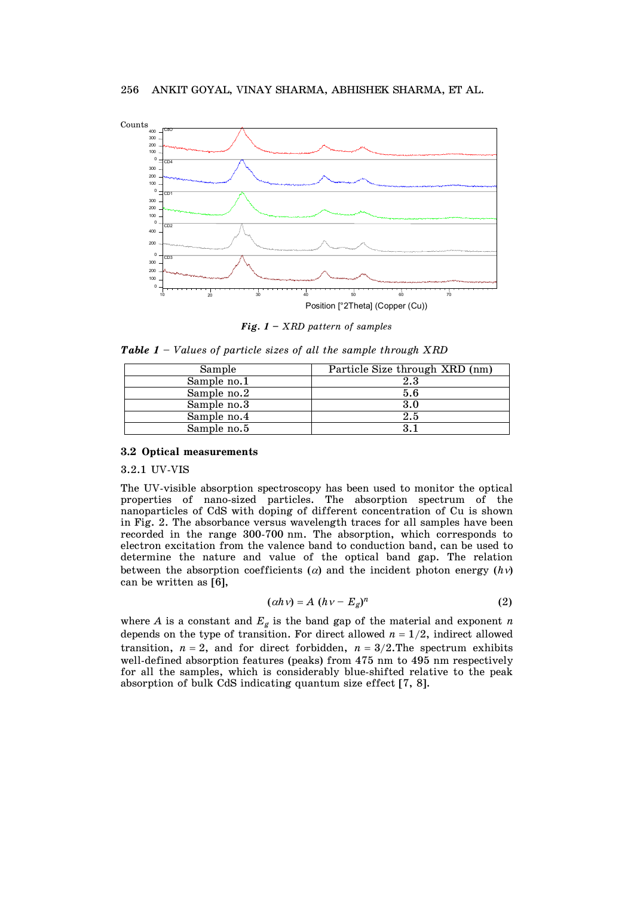

*Fig. 1 – XRD pattern of samples* 

*Table 1 – Values of particle sizes of all the sample through XRD* 

| Sample      | Particle Size through XRD (nm) |  |
|-------------|--------------------------------|--|
| Sample no.1 | $2.3\,$                        |  |
| Sample no.2 | 5.6                            |  |
| Sample no.3 | 3.0                            |  |
| Sample no.4 | 2.5                            |  |
| Sample no.5 |                                |  |

# **3.2 Optical measurements**

### 3.2.1 UV-VIS

The UV-visible absorption spectroscopy has been used to monitor the optical properties of nano-sized particles. The absorption spectrum of the nanoparticles of CdS with doping of different concentration of Cu is shown in Fig. 2. The absorbance versus wavelength traces for all samples have been recorded in the range 300-700 nm. The absorption, which corresponds to electron excitation from the valence band to conduction band, can be used to determine the nature and value of the optical band gap. The relation between the absorption coefficients ( $\alpha$ ) and the incident photon energy ( $h\nu$ ) can be written as [6],

$$
(\alpha h \nu) = A (h \nu - E_g)^n \tag{2}
$$

where *A* is a constant and  $E_g$  is the band gap of the material and exponent *n* depends on the type of transition. For direct allowed  $n = 1/2$ , indirect allowed transition,  $n = 2$ , and for direct forbidden,  $n = 3/2$ . The spectrum exhibits well-defined absorption features (peaks) from 475 nm to 495 nm respectively for all the samples, which is considerably blue-shifted relative to the peak absorption of bulk CdS indicating quantum size effect [7, 8].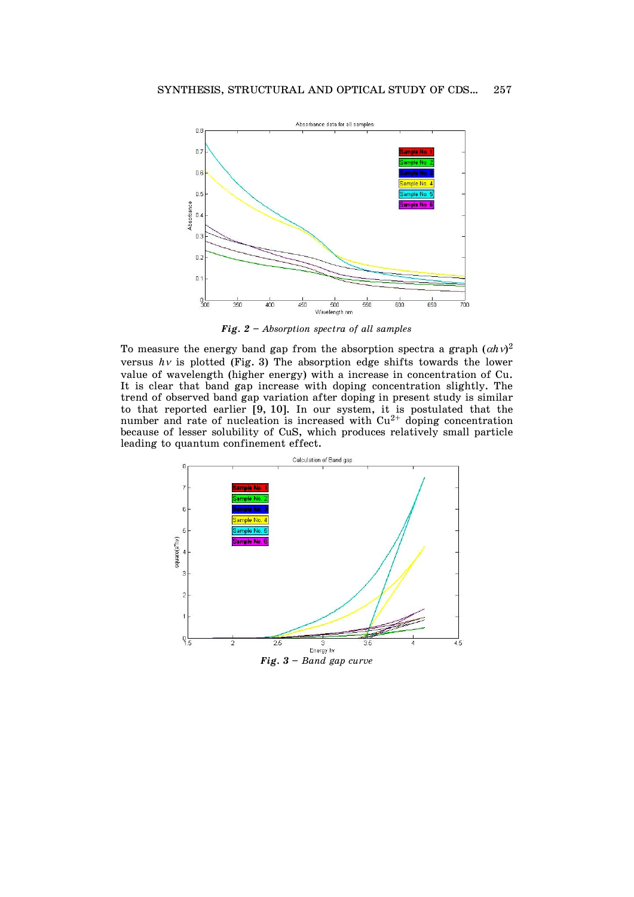

*Fig. 2 – Absorption spectra of all samples* 

To measure the energy band gap from the absorption spectra a graph  $(\alpha h\vee)^2$ versus  $h\nu$  is plotted (Fig. 3) The absorption edge shifts towards the lower value of wavelength (higher energy) with a increase in concentration of Cu. It is clear that band gap increase with doping concentration slightly. The trend of observed band gap variation after doping in present study is similar to that reported earlier [9, 10]. In our system, it is postulated that the number and rate of nucleation is increased with  $Cu^{2+}$  doping concentration because of lesser solubility of CuS, which produces relatively small particle leading to quantum confinement effect.

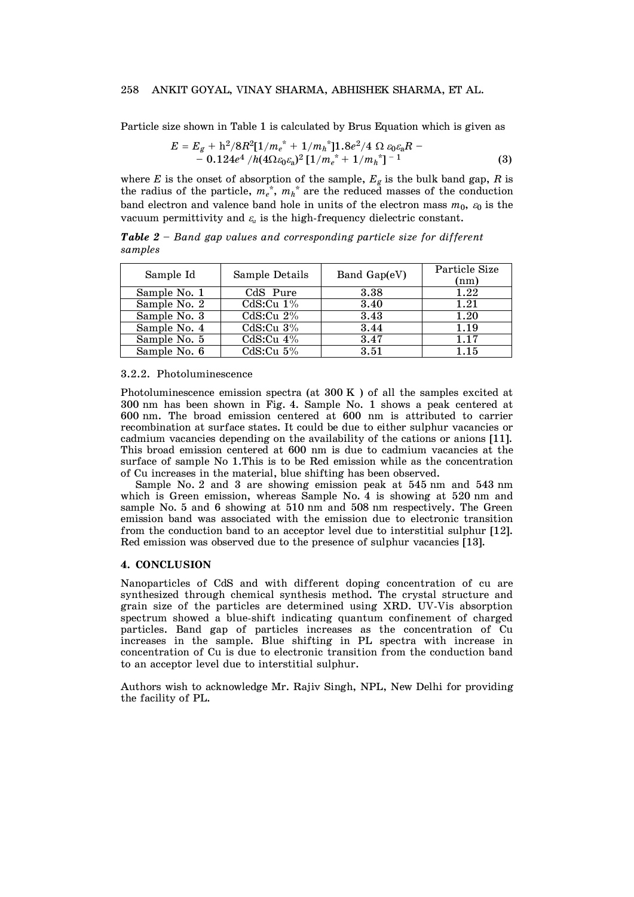## 258 ANKIT GOYAL, VINAY SHARMA, ABHISHEK SHARMA, ET AL.

Particle size shown in Table 1 is calculated by Brus Equation which is given as

$$
E = E_g + h^2/8R^2[1/m_e^* + 1/m_h^*]1.8e^2/4 \Omega \varepsilon_0 \varepsilon_a R - 0.124e^4/h(4\Omega \varepsilon_0 \varepsilon_a)^2 [1/m_e^* + 1/m_h^*]^{-1}
$$
(3)

where *E* is the onset of absorption of the sample, *Eg* is the bulk band gap, *R* is the radius of the particle,  $m_e^*$ ,  $m_h^*$  are the reduced masses of the conduction band electron and valence band hole in units of the electron mass  $m_0$ ,  $\varepsilon_0$  is the vacuum permittivity and  $\varepsilon$  is the high-frequency dielectric constant.

*Table 2 – Band gap values and corresponding particle size for different samples* 

| Sample Id    | Sample Details | Band Gap(eV) | Particle Size<br>(nm) |
|--------------|----------------|--------------|-----------------------|
| Sample No. 1 | CdS Pure       | 3.38         | 1.22                  |
| Sample No. 2 | CdS:Cu $1\%$   | 3.40         | 1.21                  |
| Sample No. 3 | CdS:Cu $2\%$   | 3.43         | 1.20                  |
| Sample No. 4 | CdS:Cu $3\%$   | 3.44         | 1.19                  |
| Sample No. 5 | CdS:Cu $4\%$   | 3.47         | 1.17                  |
| Sample No. 6 | CdS:Cu $5\%$   | 3.51         | 1.15                  |

#### 3.2.2. Photoluminescence

Photoluminescence emission spectra (at 300 K ) of all the samples excited at 300 nm has been shown in Fig. 4. Sample No. 1 shows a peak centered at 600 nm. The broad emission centered at 600 nm is attributed to carrier recombination at surface states. It could be due to either sulphur vacancies or cadmium vacancies depending on the availability of the cations or anions [11]. This broad emission centered at 600 nm is due to cadmium vacancies at the surface of sample No 1.This is to be Red emission while as the concentration of Cu increases in the material, blue shifting has been observed.

 Sample No. 2 and 3 are showing emission peak at 545 nm and 543 nm which is Green emission, whereas Sample No. 4 is showing at 520 nm and sample No. 5 and 6 showing at 510 nm and 508 nm respectively. The Green emission band was associated with the emission due to electronic transition from the conduction band to an acceptor level due to interstitial sulphur [12]. Red emission was observed due to the presence of sulphur vacancies [13].

# **4. CONCLUSION**

Nanoparticles of CdS and with different doping concentration of cu are synthesized through chemical synthesis method. The crystal structure and grain size of the particles are determined using XRD. UV-Vis absorption spectrum showed a blue-shift indicating quantum confinement of charged particles. Band gap of particles increases as the concentration of Cu increases in the sample. Blue shifting in PL spectra with increase in concentration of Cu is due to electronic transition from the conduction band to an acceptor level due to interstitial sulphur.

Authors wish to acknowledge Mr. Rajiv Singh, NPL, New Delhi for providing the facility of PL.